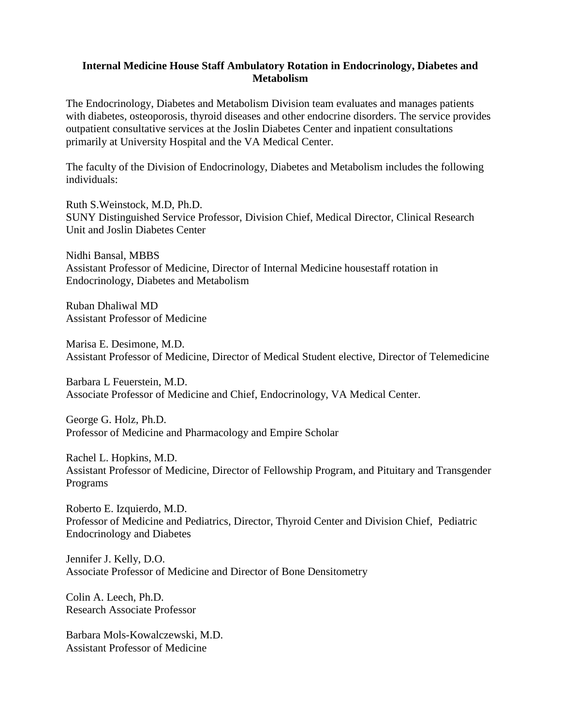#### **Internal Medicine House Staff Ambulatory Rotation in Endocrinology, Diabetes and Metabolism**

The Endocrinology, Diabetes and Metabolism Division team evaluates and manages patients with diabetes, osteoporosis, thyroid diseases and other endocrine disorders. The service provides outpatient consultative services at the Joslin Diabetes Center and inpatient consultations primarily at University Hospital and the VA Medical Center.

The faculty of the Division of Endocrinology, Diabetes and Metabolism includes the following individuals:

Ruth S.Weinstock, M.D, Ph.D. SUNY Distinguished Service Professor, Division Chief, Medical Director, Clinical Research Unit and Joslin Diabetes Center

Nidhi Bansal, MBBS Assistant Professor of Medicine, Director of Internal Medicine housestaff rotation in Endocrinology, Diabetes and Metabolism

Ruban Dhaliwal MD Assistant Professor of Medicine

Marisa E. Desimone, M.D. Assistant Professor of Medicine, Director of Medical Student elective, Director of Telemedicine

Barbara L Feuerstein, M.D. Associate Professor of Medicine and Chief, Endocrinology, VA Medical Center.

George G. Holz, Ph.D. Professor of Medicine and Pharmacology and Empire Scholar

Rachel L. Hopkins, M.D. Assistant Professor of Medicine, Director of Fellowship Program, and Pituitary and Transgender Programs

Roberto E. Izquierdo, M.D. Professor of Medicine and Pediatrics, Director, Thyroid Center and Division Chief, Pediatric Endocrinology and Diabetes

Jennifer J. Kelly, D.O. Associate Professor of Medicine and Director of Bone Densitometry

Colin A. Leech, Ph.D. Research Associate Professor

Barbara Mols-Kowalczewski, M.D. Assistant Professor of Medicine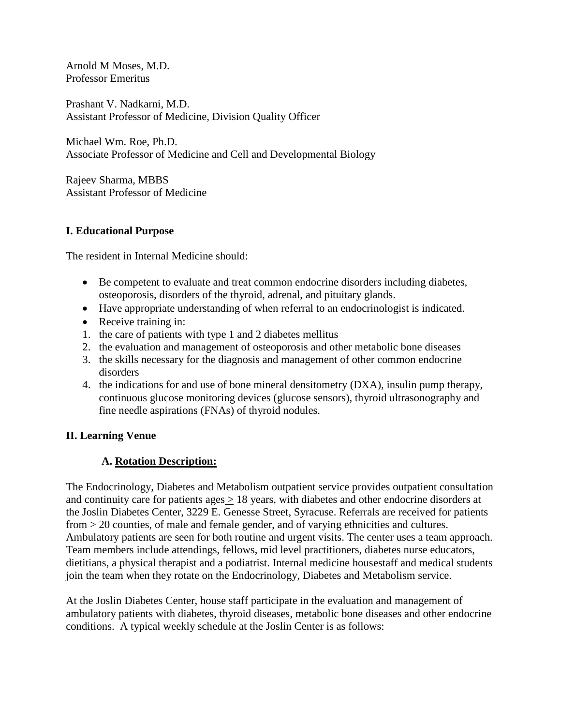Arnold M Moses, M.D. Professor Emeritus

Prashant V. Nadkarni, M.D. Assistant Professor of Medicine, Division Quality Officer

Michael Wm. Roe, Ph.D. Associate Professor of Medicine and Cell and Developmental Biology

Rajeev Sharma, MBBS Assistant Professor of Medicine

### **I. Educational Purpose**

The resident in Internal Medicine should:

- Be competent to evaluate and treat common endocrine disorders including diabetes, osteoporosis, disorders of the thyroid, adrenal, and pituitary glands.
- Have appropriate understanding of when referral to an endocrinologist is indicated.
- Receive training in:
- 1. the care of patients with type 1 and 2 diabetes mellitus
- 2. the evaluation and management of osteoporosis and other metabolic bone diseases
- 3. the skills necessary for the diagnosis and management of other common endocrine disorders
- 4. the indications for and use of bone mineral densitometry (DXA), insulin pump therapy, continuous glucose monitoring devices (glucose sensors), thyroid ultrasonography and fine needle aspirations (FNAs) of thyroid nodules.

### **II. Learning Venue**

# **A. Rotation Description:**

The Endocrinology, Diabetes and Metabolism outpatient service provides outpatient consultation and continuity care for patients ages > 18 years, with diabetes and other endocrine disorders at the Joslin Diabetes Center, 3229 E. Genesse Street, Syracuse. Referrals are received for patients from > 20 counties, of male and female gender, and of varying ethnicities and cultures. Ambulatory patients are seen for both routine and urgent visits. The center uses a team approach. Team members include attendings, fellows, mid level practitioners, diabetes nurse educators, dietitians, a physical therapist and a podiatrist. Internal medicine housestaff and medical students join the team when they rotate on the Endocrinology, Diabetes and Metabolism service.

At the Joslin Diabetes Center, house staff participate in the evaluation and management of ambulatory patients with diabetes, thyroid diseases, metabolic bone diseases and other endocrine conditions. A typical weekly schedule at the Joslin Center is as follows: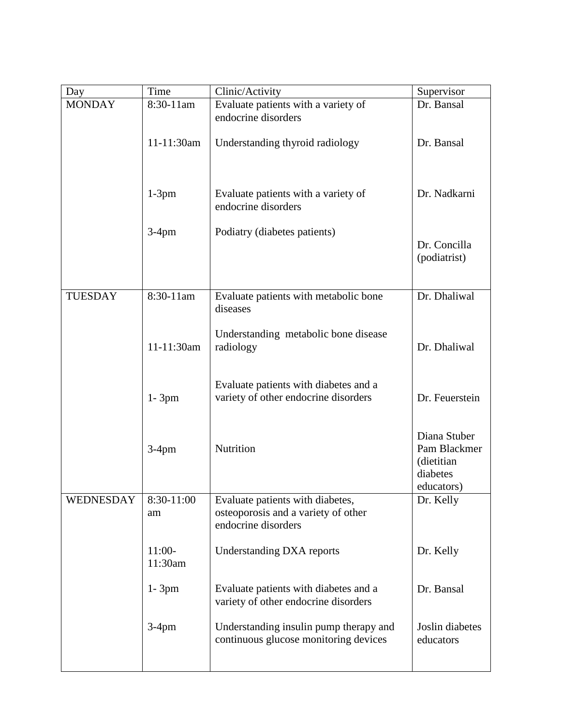| 8:30-11am           | Evaluate patients with a variety of                                                            | Dr. Bansal                                                           |
|---------------------|------------------------------------------------------------------------------------------------|----------------------------------------------------------------------|
|                     |                                                                                                |                                                                      |
|                     | endocrine disorders                                                                            |                                                                      |
| 11-11:30am          | Understanding thyroid radiology                                                                | Dr. Bansal                                                           |
| $1-3$ pm            | Evaluate patients with a variety of<br>endocrine disorders                                     | Dr. Nadkarni                                                         |
| $3-4$ pm            | Podiatry (diabetes patients)                                                                   | Dr. Concilla<br>(podiatrist)                                         |
| $8:30-11$ am        | Evaluate patients with metabolic bone<br>diseases                                              | Dr. Dhaliwal                                                         |
| 11-11:30am          | Understanding metabolic bone disease<br>radiology                                              | Dr. Dhaliwal                                                         |
| $1 - 3pm$           | Evaluate patients with diabetes and a<br>variety of other endocrine disorders                  | Dr. Feuerstein                                                       |
| $3-4$ pm            | Nutrition                                                                                      | Diana Stuber<br>Pam Blackmer<br>(dietitian<br>diabetes<br>educators) |
| 8:30-11:00          | Evaluate patients with diabetes,<br>osteoporosis and a variety of other<br>endocrine disorders | Dr. Kelly                                                            |
| $11:00-$<br>11:30am | <b>Understanding DXA reports</b>                                                               | Dr. Kelly                                                            |
| $1 - 3pm$           | Evaluate patients with diabetes and a<br>variety of other endocrine disorders                  | Dr. Bansal                                                           |
| $3-4$ pm            | Understanding insulin pump therapy and<br>continuous glucose monitoring devices                | Joslin diabetes<br>educators                                         |
|                     |                                                                                                |                                                                      |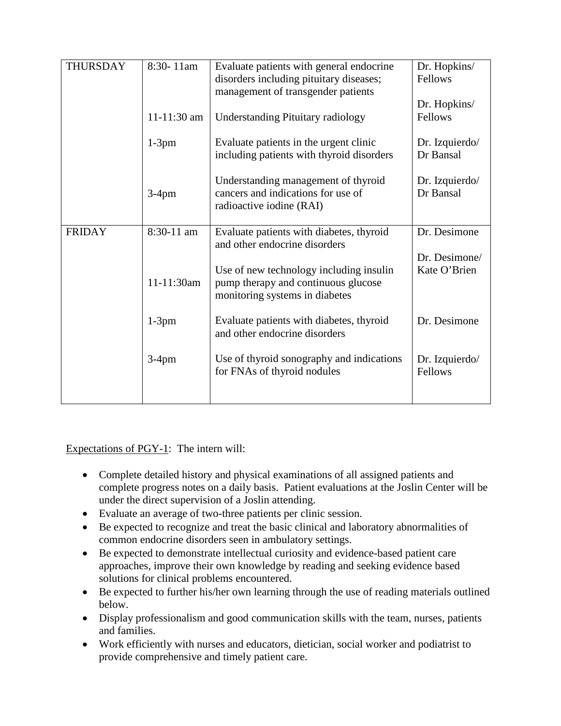| <b>THURSDAY</b> | 8:30-11am   | Evaluate patients with general endocrine<br>disorders including pituitary diseases;                              | Dr. Hopkins/<br>Fellows     |
|-----------------|-------------|------------------------------------------------------------------------------------------------------------------|-----------------------------|
|                 |             | management of transgender patients                                                                               | Dr. Hopkins/                |
|                 | 11-11:30 am | <b>Understanding Pituitary radiology</b>                                                                         | Fellows                     |
|                 | $1-3$ pm    | Evaluate patients in the urgent clinic<br>including patients with thyroid disorders                              | Dr. Izquierdo/<br>Dr Bansal |
|                 | $3-4$ pm    | Understanding management of thyroid<br>cancers and indications for use of<br>radioactive iodine (RAI)            | Dr. Izquierdo/<br>Dr Bansal |
| <b>FRIDAY</b>   | 8:30-11 am  | Evaluate patients with diabetes, thyroid<br>and other endocrine disorders                                        | Dr. Desimone                |
|                 |             |                                                                                                                  | Dr. Desimone/               |
|                 | 11-11:30am  | Use of new technology including insulin<br>pump therapy and continuous glucose<br>monitoring systems in diabetes | Kate O'Brien                |
|                 | $1-3$ pm    | Evaluate patients with diabetes, thyroid<br>and other endocrine disorders                                        | Dr. Desimone                |
|                 | $3-4$ pm    | Use of thyroid sonography and indications<br>for FNAs of thyroid nodules                                         | Dr. Izquierdo/<br>Fellows   |
|                 |             |                                                                                                                  |                             |

Expectations of PGY-1: The intern will:

- Complete detailed history and physical examinations of all assigned patients and complete progress notes on a daily basis. Patient evaluations at the Joslin Center will be under the direct supervision of a Joslin attending.
- Evaluate an average of two-three patients per clinic session.
- Be expected to recognize and treat the basic clinical and laboratory abnormalities of common endocrine disorders seen in ambulatory settings.
- Be expected to demonstrate intellectual curiosity and evidence-based patient care approaches, improve their own knowledge by reading and seeking evidence based solutions for clinical problems encountered.
- Be expected to further his/her own learning through the use of reading materials outlined below.
- Display professionalism and good communication skills with the team, nurses, patients and families.
- Work efficiently with nurses and educators, dietician, social worker and podiatrist to provide comprehensive and timely patient care.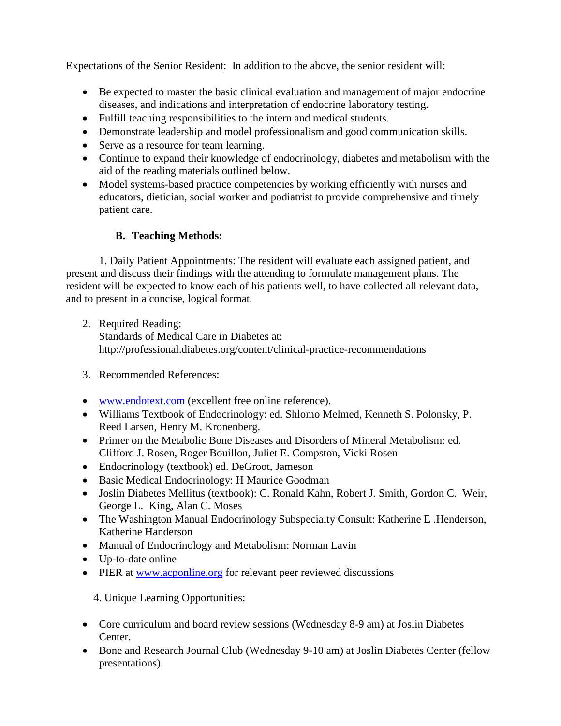Expectations of the Senior Resident: In addition to the above, the senior resident will:

- Be expected to master the basic clinical evaluation and management of major endocrine diseases, and indications and interpretation of endocrine laboratory testing.
- Fulfill teaching responsibilities to the intern and medical students.
- Demonstrate leadership and model professionalism and good communication skills.
- Serve as a resource for team learning.
- Continue to expand their knowledge of endocrinology, diabetes and metabolism with the aid of the reading materials outlined below.
- Model systems-based practice competencies by working efficiently with nurses and educators, dietician, social worker and podiatrist to provide comprehensive and timely patient care.

# **B. Teaching Methods:**

 1. Daily Patient Appointments: The resident will evaluate each assigned patient, and present and discuss their findings with the attending to formulate management plans. The resident will be expected to know each of his patients well, to have collected all relevant data, and to present in a concise, logical format.

- 2. Required Reading: Standards of Medical Care in Diabetes at: http://professional.diabetes.org/content/clinical-practice-recommendations
- 3. Recommended References:
- [www.endotext.com](http://www.endotext.com/) (excellent free online reference).
- Williams Textbook of Endocrinology: ed. Shlomo Melmed, Kenneth S. Polonsky, P. Reed Larsen, Henry M. Kronenberg.
- Primer on the Metabolic Bone Diseases and Disorders of Mineral Metabolism: ed. [Clifford J. Rosen,](http://www.amazon.com/s/ref=dp_byline_sr_book_1?ie=UTF8&field-author=Clifford+J.+Rosen&search-alias=books&text=Clifford+J.+Rosen&sort=relevancerank) [Roger Bouillon,](http://www.amazon.com/s/ref=dp_byline_sr_book_2?ie=UTF8&field-author=Roger+Bouillon&search-alias=books&text=Roger+Bouillon&sort=relevancerank) [Juliet E. Compston,](http://www.amazon.com/s/ref=dp_byline_sr_book_3?ie=UTF8&field-author=Juliet+E.+Compston&search-alias=books&text=Juliet+E.+Compston&sort=relevancerank) [Vicki Rosen](http://www.amazon.com/s/ref=dp_byline_sr_book_4?ie=UTF8&field-author=Vicki+Rosen&search-alias=books&text=Vicki+Rosen&sort=relevancerank)
- Endocrinology (textbook) ed. DeGroot, Jameson
- Basic Medical Endocrinology: H Maurice Goodman
- Joslin Diabetes Mellitus (textbook): C. Ronald Kahn, Robert J. Smith, Gordon C. Weir, George L. King, Alan C. Moses
- The Washington Manual Endocrinology Subspecialty Consult: Katherine E. Henderson, Katherine Handerson
- Manual of Endocrinology and Metabolism: Norman Lavin
- Up-to-date online
- PIER at [www.acponline.org](http://www.acponline.org/) for relevant peer reviewed discussions

4. Unique Learning Opportunities:

- Core curriculum and board review sessions (Wednesday 8-9 am) at Joslin Diabetes Center.
- Bone and Research Journal Club (Wednesday 9-10 am) at Joslin Diabetes Center (fellow presentations).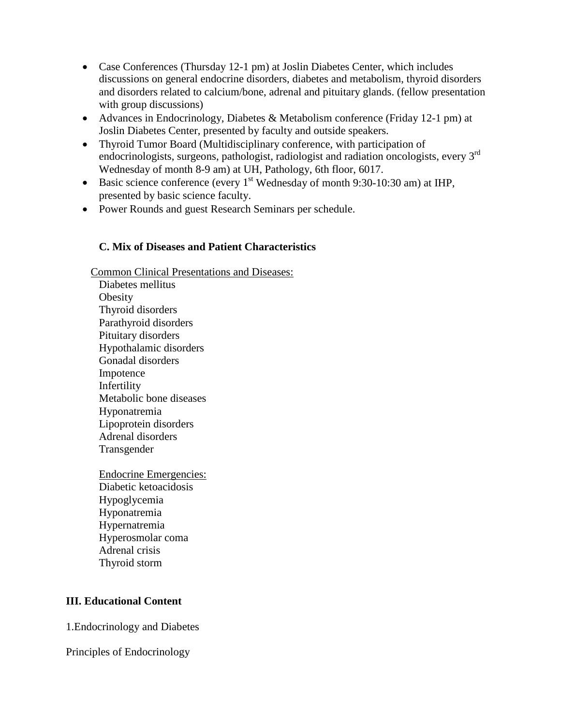- Case Conferences (Thursday 12-1 pm) at Joslin Diabetes Center, which includes discussions on general endocrine disorders, diabetes and metabolism, thyroid disorders and disorders related to calcium/bone, adrenal and pituitary glands. (fellow presentation with group discussions)
- Advances in Endocrinology, Diabetes & Metabolism conference (Friday 12-1 pm) at Joslin Diabetes Center, presented by faculty and outside speakers.
- Thyroid Tumor Board (Multidisciplinary conference, with participation of endocrinologists, surgeons, pathologist, radiologist and radiation oncologists, every 3<sup>rd</sup> Wednesday of month 8-9 am) at UH, Pathology, 6th floor, 6017.
- Basic science conference (every  $1<sup>st</sup>$  Wednesday of month 9:30-10:30 am) at IHP, presented by basic science faculty.
- Power Rounds and guest Research Seminars per schedule.

### **C. Mix of Diseases and Patient Characteristics**

 Common Clinical Presentations and Diseases: Diabetes mellitus **Obesity** 

Thyroid disorders Parathyroid disorders Pituitary disorders Hypothalamic disorders Gonadal disorders Impotence Infertility Metabolic bone diseases Hyponatremia Lipoprotein disorders Adrenal disorders Transgender

Endocrine Emergencies: Diabetic ketoacidosis Hypoglycemia Hyponatremia Hypernatremia Hyperosmolar coma Adrenal crisis Thyroid storm

### **III. Educational Content**

1.Endocrinology and Diabetes

Principles of Endocrinology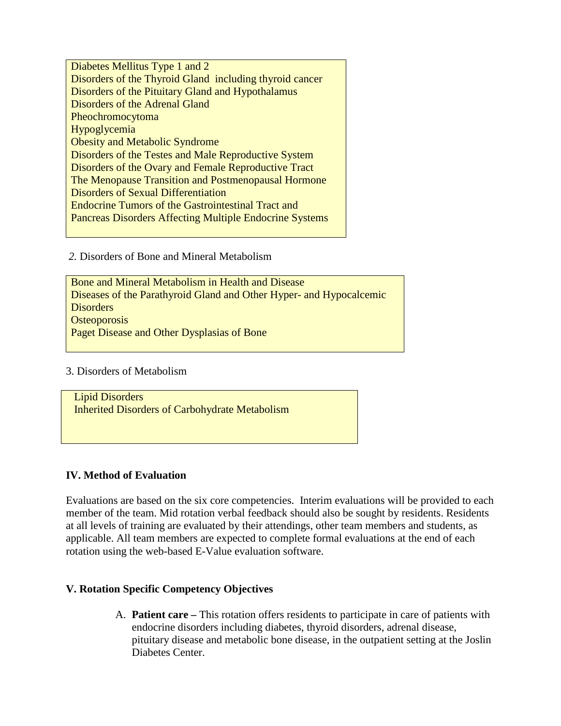Diabetes Mellitus Type 1 and 2 Disorders of the Thyroid Gland including thyroid cancer Disorders of the Pituitary Gland and Hypothalamus Disorders of the Adrenal Gland Pheochromocytoma Hypoglycemia Obesity and Metabolic Syndrome Disorders of the Testes and Male Reproductive System Disorders of the Ovary and Female Reproductive Tract The Menopause Transition and Postmenopausal Hormone Disorders of Sexual Differentiation Endocrine Tumors of the Gastrointestinal Tract and Pancreas Disorders Affecting Multiple Endocrine Systems

*2.* Disorders of Bone and Mineral Metabolism

Bone and Mineral Metabolism in Health and Disease Diseases of the Parathyroid Gland and Other Hyper- and Hypocalcemic **Disorders Osteoporosis** Paget Disease and Other Dysplasias of Bone

### 3. Disorders of Metabolism

Lipid Disorders Inherited Disorders of Carbohydrate Metabolism

### **IV. Method of Evaluation**

Evaluations are based on the six core competencies. Interim evaluations will be provided to each member of the team. Mid rotation verbal feedback should also be sought by residents. Residents at all levels of training are evaluated by their attendings, other team members and students, as applicable. All team members are expected to complete formal evaluations at the end of each rotation using the web-based E-Value evaluation software.

#### **V. Rotation Specific Competency Objectives**

A. **Patient care –** This rotation offers residents to participate in care of patients with endocrine disorders including diabetes, thyroid disorders, adrenal disease, pituitary disease and metabolic bone disease, in the outpatient setting at the Joslin Diabetes Center.